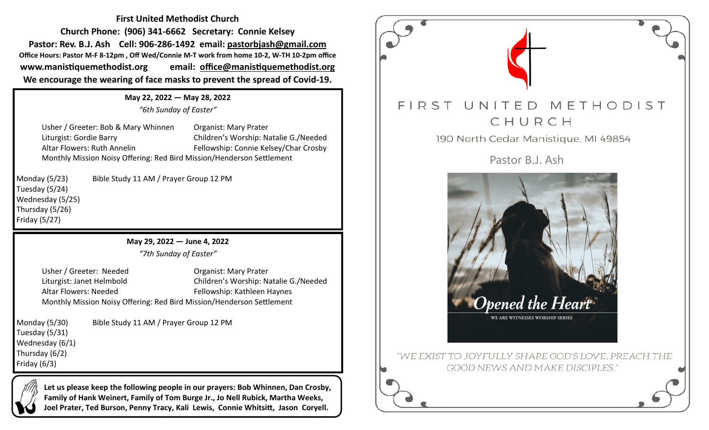**First United Methodist Church Church Phone: (906) 341-6662 Secretary: Connie Kelsey Pastor: Rev. B.J. Ash Cell: 906-286-1492 email: pastorbjash@gmail.com Office Hours: Pastor M-F 8-12pm , Off Wed/Connie M-T work from home 10-2, W-TH 10-2pm office www.manistiquemethodist.org email: office@manistiquemethodist.org We encourage the wearing of face masks to prevent the spread of Covid-19.**

> **May 22, 2022 — May 28, 2022** *"6th Sunday of Easter"*

Usher / Greeter: Bob & Mary Whinnen Organist: Mary Prater Liturgist: Gordie Barry Children's Worship: Natalie G./Needed Altar Flowers: Ruth Annelin Fellowship: Connie Kelsey/Char Crosby Monthly Mission Noisy Offering: Red Bird Mission/Henderson Settlement

Tuesday (5/24) Wednesday (5/25) Thursday (5/26) Friday (5/27)

Monday (5/23) Bible Study 11 AM / Prayer Group 12 PM

**May 29, 2022 — June 4, 2022**

*"7th Sunday of Easter"*

Usher / Greeter: Needed Organist: Mary Prater Liturgist: Janet Helmbold Children's Worship: Natalie G./Needed Altar Flowers: Needed Fellowship: Kathleen Haynes Monthly Mission Noisy Offering: Red Bird Mission/Henderson Settlement

Monday (5/30) Bible Study 11 AM / Prayer Group 12 PM Tuesday (5/31) Wednesday (6/1) Thursday (6/2) Friday (6/3)

> **Let us please keep the following people in our prayers: Bob Whinnen, Dan Crosby, Family of Hank Weinert, Family of Tom Burge Jr., Jo Nell Rubick, Martha Weeks, Joel Prater, Ted Burson, Penny Tracy, Kali Lewis, Connie Whitsitt, Jason Coryell.**